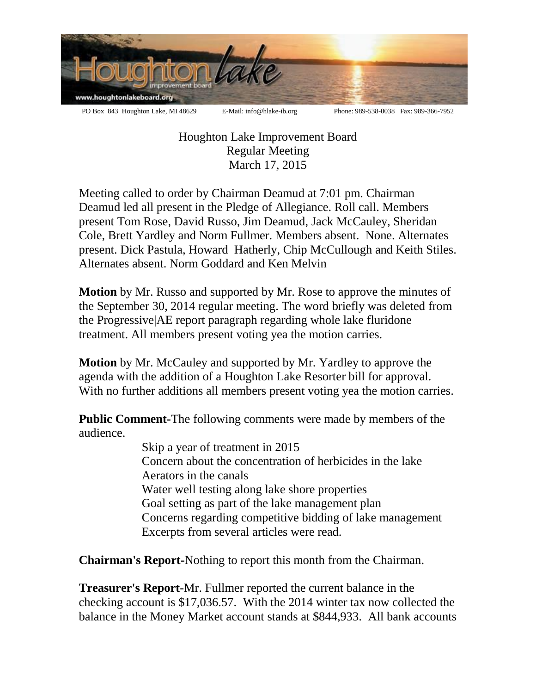

Houghton Lake Improvement Board Regular Meeting March 17, 2015

Meeting called to order by Chairman Deamud at 7:01 pm. Chairman Deamud led all present in the Pledge of Allegiance. Roll call. Members present Tom Rose, David Russo, Jim Deamud, Jack McCauley, Sheridan Cole, Brett Yardley and Norm Fullmer. Members absent. None. Alternates present. Dick Pastula, Howard Hatherly, Chip McCullough and Keith Stiles. Alternates absent. Norm Goddard and Ken Melvin

**Motion** by Mr. Russo and supported by Mr. Rose to approve the minutes of the September 30, 2014 regular meeting. The word briefly was deleted from the Progressive|AE report paragraph regarding whole lake fluridone treatment. All members present voting yea the motion carries.

**Motion** by Mr. McCauley and supported by Mr. Yardley to approve the agenda with the addition of a Houghton Lake Resorter bill for approval. With no further additions all members present voting yea the motion carries.

**Public Comment-**The following comments were made by members of the audience.

Skip a year of treatment in 2015 Concern about the concentration of herbicides in the lake Aerators in the canals Water well testing along lake shore properties Goal setting as part of the lake management plan Concerns regarding competitive bidding of lake management Excerpts from several articles were read.

**Chairman's Report-**Nothing to report this month from the Chairman.

**Treasurer's Report-**Mr. Fullmer reported the current balance in the checking account is \$17,036.57. With the 2014 winter tax now collected the balance in the Money Market account stands at \$844,933. All bank accounts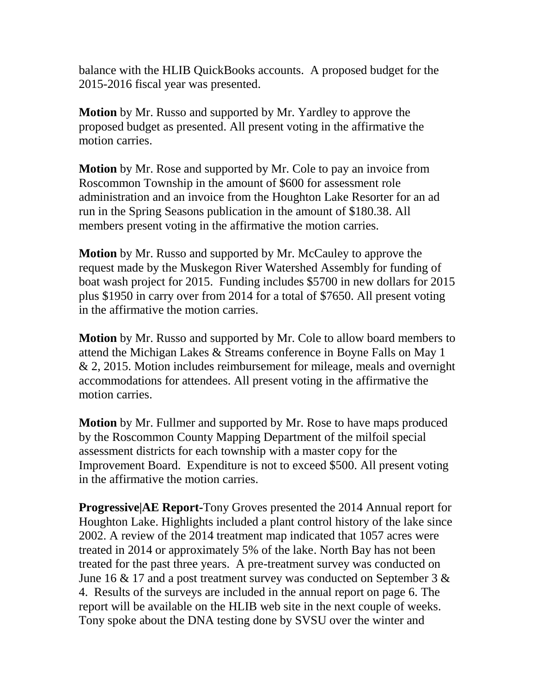balance with the HLIB QuickBooks accounts. A proposed budget for the 2015-2016 fiscal year was presented.

**Motion** by Mr. Russo and supported by Mr. Yardley to approve the proposed budget as presented. All present voting in the affirmative the motion carries.

**Motion** by Mr. Rose and supported by Mr. Cole to pay an invoice from Roscommon Township in the amount of \$600 for assessment role administration and an invoice from the Houghton Lake Resorter for an ad run in the Spring Seasons publication in the amount of \$180.38. All members present voting in the affirmative the motion carries.

**Motion** by Mr. Russo and supported by Mr. McCauley to approve the request made by the Muskegon River Watershed Assembly for funding of boat wash project for 2015. Funding includes \$5700 in new dollars for 2015 plus \$1950 in carry over from 2014 for a total of \$7650. All present voting in the affirmative the motion carries.

**Motion** by Mr. Russo and supported by Mr. Cole to allow board members to attend the Michigan Lakes & Streams conference in Boyne Falls on May 1 & 2, 2015. Motion includes reimbursement for mileage, meals and overnight accommodations for attendees. All present voting in the affirmative the motion carries.

**Motion** by Mr. Fullmer and supported by Mr. Rose to have maps produced by the Roscommon County Mapping Department of the milfoil special assessment districts for each township with a master copy for the Improvement Board. Expenditure is not to exceed \$500. All present voting in the affirmative the motion carries.

**Progressive|AE Report-**Tony Groves presented the 2014 Annual report for Houghton Lake. Highlights included a plant control history of the lake since 2002. A review of the 2014 treatment map indicated that 1057 acres were treated in 2014 or approximately 5% of the lake. North Bay has not been treated for the past three years. A pre-treatment survey was conducted on June 16  $\&$  17 and a post treatment survey was conducted on September 3  $\&$ 4. Results of the surveys are included in the annual report on page 6. The report will be available on the HLIB web site in the next couple of weeks. Tony spoke about the DNA testing done by SVSU over the winter and